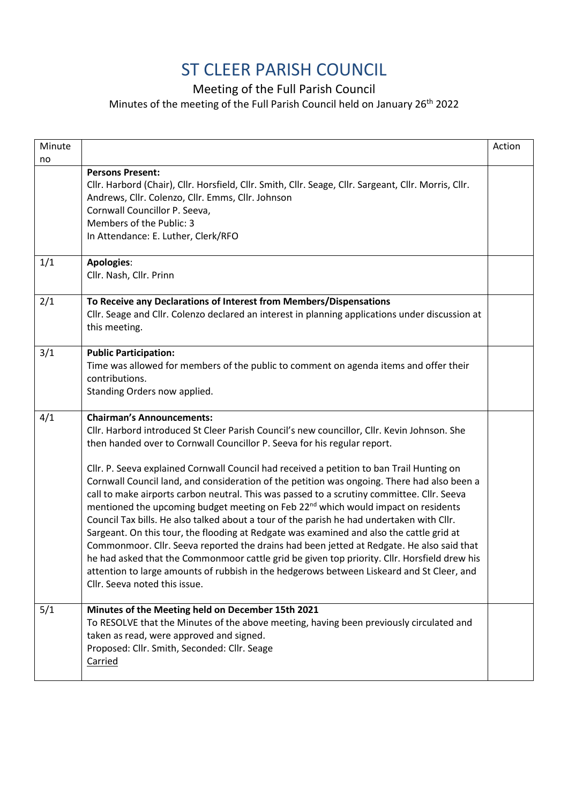## ST CLEER PARISH COUNCIL

Meeting of the Full Parish Council

Minutes of the meeting of the Full Parish Council held on January 26th 2022

| Minute |                                                                                                                            | Action |
|--------|----------------------------------------------------------------------------------------------------------------------------|--------|
| no     |                                                                                                                            |        |
|        | <b>Persons Present:</b>                                                                                                    |        |
|        | Cllr. Harbord (Chair), Cllr. Horsfield, Cllr. Smith, Cllr. Seage, Cllr. Sargeant, Cllr. Morris, Cllr.                      |        |
|        | Andrews, Cllr. Colenzo, Cllr. Emms, Cllr. Johnson                                                                          |        |
|        | Cornwall Councillor P. Seeva,                                                                                              |        |
|        | Members of the Public: 3<br>In Attendance: E. Luther, Clerk/RFO                                                            |        |
|        |                                                                                                                            |        |
| 1/1    | <b>Apologies:</b>                                                                                                          |        |
|        | Cllr. Nash, Cllr. Prinn                                                                                                    |        |
| 2/1    | To Receive any Declarations of Interest from Members/Dispensations                                                         |        |
|        | Cllr. Seage and Cllr. Colenzo declared an interest in planning applications under discussion at                            |        |
|        | this meeting.                                                                                                              |        |
| 3/1    | <b>Public Participation:</b>                                                                                               |        |
|        | Time was allowed for members of the public to comment on agenda items and offer their                                      |        |
|        | contributions.                                                                                                             |        |
|        | Standing Orders now applied.                                                                                               |        |
| 4/1    | <b>Chairman's Announcements:</b>                                                                                           |        |
|        | Cllr. Harbord introduced St Cleer Parish Council's new councillor, Cllr. Kevin Johnson. She                                |        |
|        | then handed over to Cornwall Councillor P. Seeva for his regular report.                                                   |        |
|        | Cllr. P. Seeva explained Cornwall Council had received a petition to ban Trail Hunting on                                  |        |
|        | Cornwall Council land, and consideration of the petition was ongoing. There had also been a                                |        |
|        | call to make airports carbon neutral. This was passed to a scrutiny committee. Cllr. Seeva                                 |        |
|        | mentioned the upcoming budget meeting on Feb 22 <sup>nd</sup> which would impact on residents                              |        |
|        | Council Tax bills. He also talked about a tour of the parish he had undertaken with Cllr.                                  |        |
|        | Sargeant. On this tour, the flooding at Redgate was examined and also the cattle grid at                                   |        |
|        | Commonmoor. Cllr. Seeva reported the drains had been jetted at Redgate. He also said that                                  |        |
|        | he had asked that the Commonmoor cattle grid be given top priority. Cllr. Horsfield drew his                               |        |
|        | attention to large amounts of rubbish in the hedgerows between Liskeard and St Cleer, and<br>Cllr. Seeva noted this issue. |        |
|        |                                                                                                                            |        |
| 5/1    | Minutes of the Meeting held on December 15th 2021                                                                          |        |
|        | To RESOLVE that the Minutes of the above meeting, having been previously circulated and                                    |        |
|        | taken as read, were approved and signed.                                                                                   |        |
|        | Proposed: Cllr. Smith, Seconded: Cllr. Seage                                                                               |        |
|        | Carried                                                                                                                    |        |
|        |                                                                                                                            |        |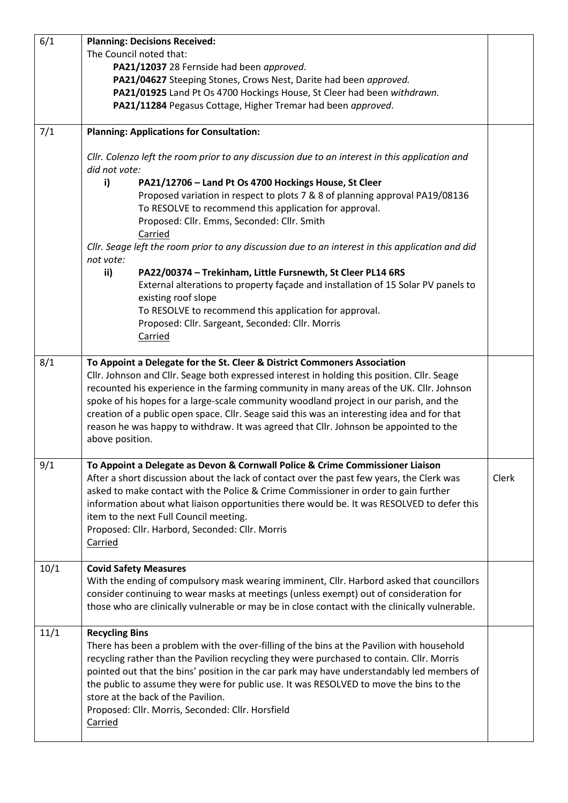| 6/1  | <b>Planning: Decisions Received:</b>                                                                                                                                                 |       |
|------|--------------------------------------------------------------------------------------------------------------------------------------------------------------------------------------|-------|
|      | The Council noted that:                                                                                                                                                              |       |
|      | PA21/12037 28 Fernside had been approved.                                                                                                                                            |       |
|      | PA21/04627 Steeping Stones, Crows Nest, Darite had been approved.                                                                                                                    |       |
|      | PA21/01925 Land Pt Os 4700 Hockings House, St Cleer had been withdrawn.                                                                                                              |       |
|      | PA21/11284 Pegasus Cottage, Higher Tremar had been approved.                                                                                                                         |       |
| 7/1  | <b>Planning: Applications for Consultation:</b>                                                                                                                                      |       |
|      | Cllr. Colenzo left the room prior to any discussion due to an interest in this application and<br>did not vote:                                                                      |       |
|      | i)<br>PA21/12706 - Land Pt Os 4700 Hockings House, St Cleer                                                                                                                          |       |
|      | Proposed variation in respect to plots 7 & 8 of planning approval PA19/08136                                                                                                         |       |
|      | To RESOLVE to recommend this application for approval.                                                                                                                               |       |
|      | Proposed: Cllr. Emms, Seconded: Cllr. Smith                                                                                                                                          |       |
|      | Carried                                                                                                                                                                              |       |
|      | Cllr. Seage left the room prior to any discussion due to an interest in this application and did<br>not vote:                                                                        |       |
|      | ii)<br>PA22/00374 - Trekinham, Little Fursnewth, St Cleer PL14 6RS                                                                                                                   |       |
|      | External alterations to property façade and installation of 15 Solar PV panels to<br>existing roof slope                                                                             |       |
|      | To RESOLVE to recommend this application for approval.                                                                                                                               |       |
|      | Proposed: Cllr. Sargeant, Seconded: Cllr. Morris                                                                                                                                     |       |
|      | Carried                                                                                                                                                                              |       |
| 8/1  | To Appoint a Delegate for the St. Cleer & District Commoners Association                                                                                                             |       |
|      | Cllr. Johnson and Cllr. Seage both expressed interest in holding this position. Cllr. Seage                                                                                          |       |
|      | recounted his experience in the farming community in many areas of the UK. Cllr. Johnson                                                                                             |       |
|      | spoke of his hopes for a large-scale community woodland project in our parish, and the                                                                                               |       |
|      | creation of a public open space. Cllr. Seage said this was an interesting idea and for that<br>reason he was happy to withdraw. It was agreed that CIIr. Johnson be appointed to the |       |
|      | above position.                                                                                                                                                                      |       |
| 9/1  | To Appoint a Delegate as Devon & Cornwall Police & Crime Commissioner Liaison                                                                                                        |       |
|      | After a short discussion about the lack of contact over the past few years, the Clerk was                                                                                            | Clerk |
|      | asked to make contact with the Police & Crime Commissioner in order to gain further                                                                                                  |       |
|      | information about what liaison opportunities there would be. It was RESOLVED to defer this                                                                                           |       |
|      | item to the next Full Council meeting.                                                                                                                                               |       |
|      | Proposed: Cllr. Harbord, Seconded: Cllr. Morris                                                                                                                                      |       |
|      | <b>Carried</b>                                                                                                                                                                       |       |
| 10/1 | <b>Covid Safety Measures</b>                                                                                                                                                         |       |
|      | With the ending of compulsory mask wearing imminent, Cllr. Harbord asked that councillors                                                                                            |       |
|      | consider continuing to wear masks at meetings (unless exempt) out of consideration for                                                                                               |       |
|      | those who are clinically vulnerable or may be in close contact with the clinically vulnerable.                                                                                       |       |
| 11/1 | <b>Recycling Bins</b>                                                                                                                                                                |       |
|      | There has been a problem with the over-filling of the bins at the Pavilion with household                                                                                            |       |
|      | recycling rather than the Pavilion recycling they were purchased to contain. Cllr. Morris                                                                                            |       |
|      | pointed out that the bins' position in the car park may have understandably led members of                                                                                           |       |
|      | the public to assume they were for public use. It was RESOLVED to move the bins to the                                                                                               |       |
|      | store at the back of the Pavilion.<br>Proposed: Cllr. Morris, Seconded: Cllr. Horsfield                                                                                              |       |
|      | Carried                                                                                                                                                                              |       |
|      |                                                                                                                                                                                      |       |